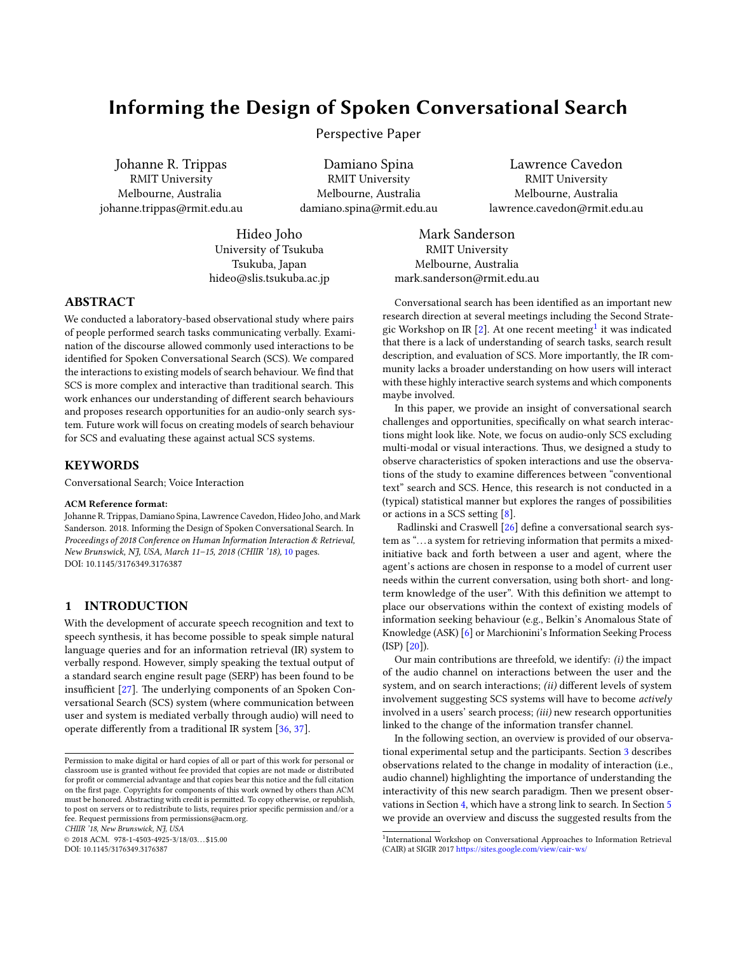# Informing the Design of Spoken Conversational Search

Perspective Paper

Johanne R. Trippas RMIT University Melbourne, Australia johanne.trippas@rmit.edu.au

Damiano Spina RMIT University Melbourne, Australia damiano.spina@rmit.edu.au

Hideo Joho University of Tsukuba Tsukuba, Japan hideo@slis.tsukuba.ac.jp

Lawrence Cavedon RMIT University Melbourne, Australia lawrence.cavedon@rmit.edu.au

Mark Sanderson RMIT University Melbourne, Australia mark.sanderson@rmit.edu.au

#### ABSTRACT

We conducted a laboratory-based observational study where pairs of people performed search tasks communicating verbally. Examination of the discourse allowed commonly used interactions to be identified for Spoken Conversational Search (SCS). We compared the interactions to existing models of search behaviour. We find that SCS is more complex and interactive than traditional search. This work enhances our understanding of different search behaviours and proposes research opportunities for an audio-only search system. Future work will focus on creating models of search behaviour for SCS and evaluating these against actual SCS systems.

## **KEYWORDS**

Conversational Search; Voice Interaction

#### ACM Reference format:

Johanne R. Trippas, Damiano Spina, Lawrence Cavedon, Hideo Joho, and Mark Sanderson. 2018. Informing the Design of Spoken Conversational Search. In Proceedings of 2018 Conference on Human Information Interaction & Retrieval, New Brunswick, NJ, USA, March 11–15, 2018 (CHIIR '18), [10](#page-9-0) pages. DOI: 10.1145/3176349.3176387

## 1 INTRODUCTION

With the development of accurate speech recognition and text to speech synthesis, it has become possible to speak simple natural language queries and for an information retrieval (IR) system to verbally respond. However, simply speaking the textual output of a standard search engine result page (SERP) has been found to be insufficient  $[27]$ . The underlying components of an Spoken Conversational Search (SCS) system (where communication between user and system is mediated verbally through audio) will need to operate differently from a traditional IR system  $[36, 37]$  $[36, 37]$  $[36, 37]$ .

CHIIR '18, New Brunswick, NJ, USA

 $@ 2018$  ACM. 978-1-4503-4925-3/18/03...\$15.00

DOI: 10.1145/3176349.3176387

description, and evaluation of SCS. More importantly, the IR community lacks a broader understanding on how users will interact with these highly interactive search systems and which components maybe involved. In this paper, we provide an insight of conversational search challenges and opportunities, specifically on what search interactions might look like. Note, we focus on audio-only SCS excluding multi-modal or visual interactions. Thus, we designed a study to

Conversational search has been identified as an important new research direction at several meetings including the Second Strate-gic Workshop on IR [\[2\]](#page-9-4). At one recent meeting $^1$  $^1$  it was indicated that there is a lack of understanding of search tasks, search result

observe characteristics of spoken interactions and use the observations of the study to examine differences between "conventional text" search and SCS. Hence, this research is not conducted in a (typical) statistical manner but explores the ranges of possibilities or actions in a SCS setting  $[8]$ .

Radlinski and Craswell  $[26]$  define a conversational search system as ". . . a system for retrieving information that permits a mixedinitiative back and forth between a user and agent, where the agent's actions are chosen in response to a model of current user needs within the current conversation, using both short- and longterm knowledge of the user". With this definition we attempt to place our observations within the context of existing models of information seeking behaviour (e.g., Belkin's Anomalous State of Knowledge (ASK) [\[6\]](#page-9-7) or Marchionini's Information Seeking Process (ISP) [\[20\]](#page-9-8)).

Our main contributions are threefold, we identify:  $(i)$  the impact of the audio channel on interactions between the user and the system, and on search interactions; (ii) different levels of system involvement suggesting SCS systems will have to become actively involved in a users' search process; (iii) new research opportunities linked to the change of the information transfer channel.

In the following section, an overview is provided of our observational experimental setup and the participants. Section [3](#page-1-0) describes observations related to the change in modality of interaction (i.e., audio channel) highlighting the importance of understanding the interactivity of this new search paradigm. Then we present observations in Section [4,](#page-4-0) which have a strong link to search. In Section [5](#page-7-0) we provide an overview and discuss the suggested results from the

Permission to make digital or hard copies of all or part of this work for personal or classroom use is granted without fee provided that copies are not made or distributed for profit or commercial advantage and that copies bear this notice and the full citation on the first page. Copyrights for components of this work owned by others than  $\rm{ACM}$ must be honored. Abstracting with credit is permitted. To copy otherwise, or republish, to post on servers or to redistribute to lists, requires prior specific permission and/or a fee. Request permissions from permissions@acm.org.

<span id="page-0-0"></span><sup>&</sup>lt;sup>1</sup>International Workshop on Conversational Approaches to Information Retrieval (CAIR) at SIGIR 2017 https://sites.google.com/view/cair-ws/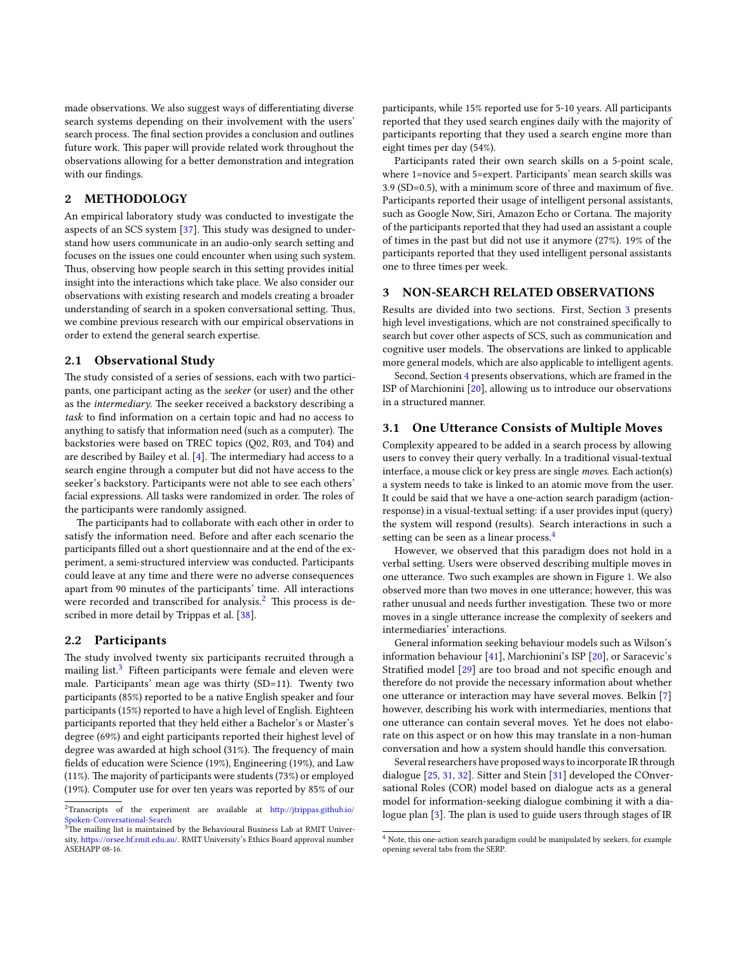made observations. We also suggest ways of differentiating diverse search systems depending on their involvement with the users' search process. The final section provides a conclusion and outlines future work. This paper will provide related work throughout the observations allowing for a better demonstration and integration with our findings.

# 2 METHODOLOGY

An empirical laboratory study was conducted to investigate the aspects of an SCS system  $[37]$ . This study was designed to understand how users communicate in an audio-only search setting and focuses on the issues one could encounter when using such system. Thus, observing how people search in this setting provides initial insight into the interactions which take place. We also consider our observations with existing research and models creating a broader understanding of search in a spoken conversational setting. Thus, we combine previous research with our empirical observations in order to extend the general search expertise.

#### 2.1 Observational Study

The study consisted of a series of sessions, each with two participants, one participant acting as the seeker (or user) and the other as the *intermediary*. The seeker received a backstory describing a task to find information on a certain topic and had no access to anything to satisfy that information need (such as a computer). The backstories were based on TREC topics (Q02, R03, and T04) and are described by Bailey et al. [\[4\]](#page-9-9). The intermediary had access to a search engine through a computer but did not have access to the seeker's backstory. Participants were not able to see each others' facial expressions. All tasks were randomized in order. The roles of the participants were randomly assigned.

The participants had to collaborate with each other in order to satisfy the information need. Before and after each scenario the participants filled out a short questionnaire and at the end of the experiment, a semi-structured interview was conducted. Participants could leave at any time and there were no adverse consequences apart from 90 minutes of the participants' time. All interactions were recorded and transcribed for analysis. $<sup>2</sup>$  $<sup>2</sup>$  $<sup>2</sup>$  This process is de-</sup> scribed in more detail by Trippas et al. [\[38\]](#page-9-10).

#### 2.2 Participants

The study involved twenty six participants recruited through a mailing list. $3$  Fifteen participants were female and eleven were male. Participants' mean age was thirty (SD=11). Twenty two participants (85%) reported to be a native English speaker and four participants (15%) reported to have a high level of English. Eighteen participants reported that they held either a Bachelor's or Master's degree (69%) and eight participants reported their highest level of degree was awarded at high school (31%). The frequency of main fields of education were Science (19%), Engineering (19%), and Law (11%). The majority of participants were students (73%) or employed (19%). Computer use for over ten years was reported by 85% of our

participants, while 15% reported use for 5-10 years. All participants reported that they used search engines daily with the majority of participants reporting that they used a search engine more than eight times per day (54%).

Participants rated their own search skills on a 5-point scale, where 1=novice and 5=expert. Participants' mean search skills was  $3.9$  (SD=0.5), with a minimum score of three and maximum of five. Participants reported their usage of intelligent personal assistants, such as Google Now, Siri, Amazon Echo or Cortana. The majority of the participants reported that they had used an assistant a couple of times in the past but did not use it anymore (27%). 19% of the participants reported that they used intelligent personal assistants one to three times per week.

## <span id="page-1-0"></span>3 NON-SEARCH RELATED OBSERVATIONS

Results are divided into two sections. First, Section [3](#page-1-0) presents high level investigations, which are not constrained specifically to search but cover other aspects of SCS, such as communication and cognitive user models. The observations are linked to applicable more general models, which are also applicable to intelligent agents.

Second, Section [4](#page-4-0) presents observations, which are framed in the ISP of Marchionini [\[20\]](#page-9-8), allowing us to introduce our observations in a structured manner.

### 3.1 One Utterance Consists of Multiple Moves

Complexity appeared to be added in a search process by allowing users to convey their query verbally. In a traditional visual-textual interface, a mouse click or key press are single moves. Each action(s) a system needs to take is linked to an atomic move from the user. It could be said that we have a one-action search paradigm (actionresponse) in a visual-textual setting: if a user provides input (query) the system will respond (results). Search interactions in such a setting can be seen as a linear process.<sup>[4](#page-1-3)</sup>

However, we observed that this paradigm does not hold in a verbal setting. Users were observed describing multiple moves in one utterance. Two such examples are shown in Figure [1.](#page-2-0) We also observed more than two moves in one utterance; however, this was rather unusual and needs further investigation. These two or more moves in a single utterance increase the complexity of seekers and intermediaries' interactions.

General information seeking behaviour models such as Wilson's information behaviour [\[41\]](#page-9-11), Marchionini's ISP [\[20\]](#page-9-8), or Saracevic's Stratified model [\[29\]](#page-9-12) are too broad and not specific enough and therefore do not provide the necessary information about whether one utterance or interaction may have several moves. Belkin [\[7\]](#page-9-13) however, describing his work with intermediaries, mentions that one utterance can contain several moves. Yet he does not elaborate on this aspect or on how this may translate in a non-human conversation and how a system should handle this conversation.

Several researchers have proposed ways to incorporate IR through dialogue [\[25,](#page-9-14) [31,](#page-9-15) [32\]](#page-9-16). Sitter and Stein [\[31\]](#page-9-15) developed the COnversational Roles (COR) model based on dialogue acts as a general model for information-seeking dialogue combining it with a dia-logue plan [\[3\]](#page-9-17). The plan is used to guide users through stages of IR

<span id="page-1-1"></span> $2$ Transcripts of the experiment are available at http://jtrippas.github.io/ [Spoken-Conversational-Search](http://jtrippas.github.io/Spoken-Conversational-Search)

<span id="page-1-2"></span> $3$ The mailing list is maintained by the Behavioural Business Lab at RMIT University, https://orsee.bf.rmit.edu.au/. RMIT University's Ethics Board approval number ASEHAPP 08-16.

<span id="page-1-3"></span> $^4$  Note, this one-action search paradigm could be manipulated by seekers, for example opening several tabs from the SERP.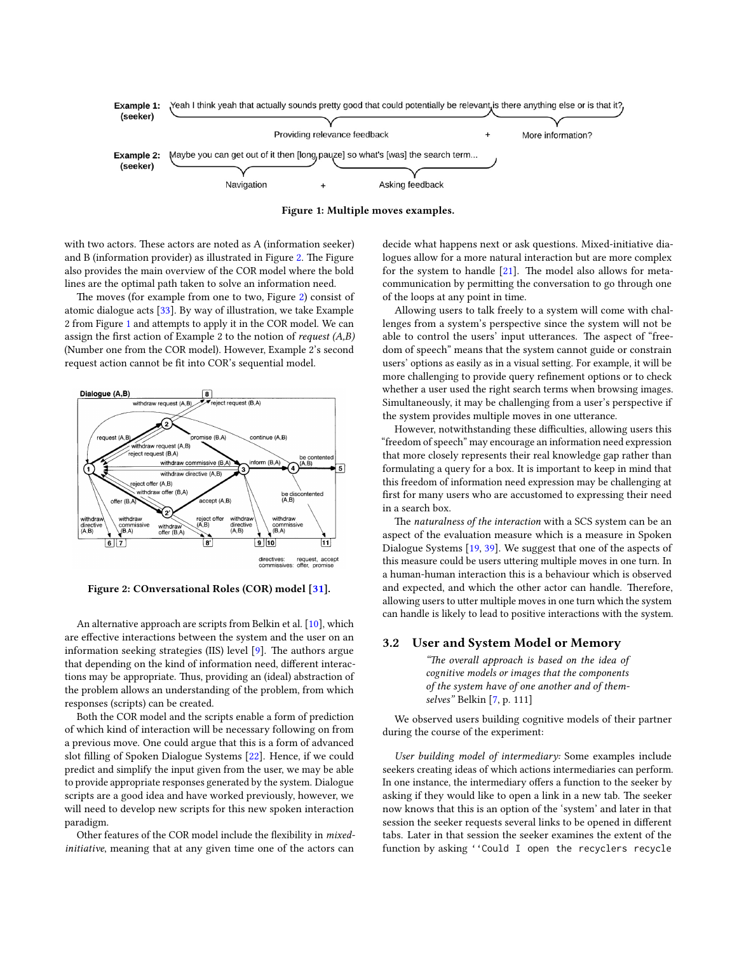<span id="page-2-0"></span>



with two actors. These actors are noted as A (information seeker) and B (information provider) as illustrated in Figure [2.](#page-2-1) The Figure also provides the main overview of the COR model where the bold lines are the optimal path taken to solve an information need.

The moves (for example from one to two, Figure [2\)](#page-2-1) consist of atomic dialogue acts [\[33\]](#page-9-18). By way of illustration, we take Example 2 from Figure [1](#page-2-0) and attempts to apply it in the COR model. We can assign the first action of Example 2 to the notion of *request*  $(A,B)$ (Number one from the COR model). However, Example 2's second request action cannot be fit into COR's sequential model.

<span id="page-2-1"></span>

Figure 2: COnversational Roles (COR) model [\[31\]](#page-9-15).

An alternative approach are scripts from Belkin et al. [\[10\]](#page-9-19), which are effective interactions between the system and the user on an information seeking strategies (IIS) level  $[9]$ . The authors argue that depending on the kind of information need, different interactions may be appropriate. Thus, providing an (ideal) abstraction of the problem allows an understanding of the problem, from which responses (scripts) can be created.

Both the COR model and the scripts enable a form of prediction of which kind of interaction will be necessary following on from a previous move. One could argue that this is a form of advanced slot filling of Spoken Dialogue Systems [\[22\]](#page-9-21). Hence, if we could predict and simplify the input given from the user, we may be able to provide appropriate responses generated by the system. Dialogue scripts are a good idea and have worked previously, however, we will need to develop new scripts for this new spoken interaction paradigm.

Other features of the COR model include the flexibility in mixedinitiative, meaning that at any given time one of the actors can

decide what happens next or ask questions. Mixed-initiative dialogues allow for a more natural interaction but are more complex for the system to handle  $[21]$ . The model also allows for metacommunication by permitting the conversation to go through one of the loops at any point in time.

Allowing users to talk freely to a system will come with challenges from a system's perspective since the system will not be able to control the users' input utterances. The aspect of "freedom of speech" means that the system cannot guide or constrain users' options as easily as in a visual setting. For example, it will be more challenging to provide query refinement options or to check whether a user used the right search terms when browsing images. Simultaneously, it may be challenging from a user's perspective if the system provides multiple moves in one utterance.

However, notwithstanding these difficulties, allowing users this "freedom of speech" may encourage an information need expression that more closely represents their real knowledge gap rather than formulating a query for a box. It is important to keep in mind that this freedom of information need expression may be challenging at first for many users who are accustomed to expressing their need in a search box.

The naturalness of the interaction with a SCS system can be an aspect of the evaluation measure which is a measure in Spoken Dialogue Systems [\[19,](#page-9-23) [39\]](#page-9-24). We suggest that one of the aspects of this measure could be users uttering multiple moves in one turn. In a human-human interaction this is a behaviour which is observed and expected, and which the other actor can handle. Therefore, allowing users to utter multiple moves in one turn which the system can handle is likely to lead to positive interactions with the system.

#### 3.2 User and System Model or Memory

"The overall approach is based on the idea of cognitive models or images that the components of the system have of one another and of themselves" Belkin [\[7,](#page-9-13) p. 111]

We observed users building cognitive models of their partner during the course of the experiment:

User building model of intermediary: Some examples include seekers creating ideas of which actions intermediaries can perform. In one instance, the intermediary offers a function to the seeker by asking if they would like to open a link in a new tab. The seeker now knows that this is an option of the 'system' and later in that session the seeker requests several links to be opened in different tabs. Later in that session the seeker examines the extent of the function by asking ''Could I open the recyclers recycle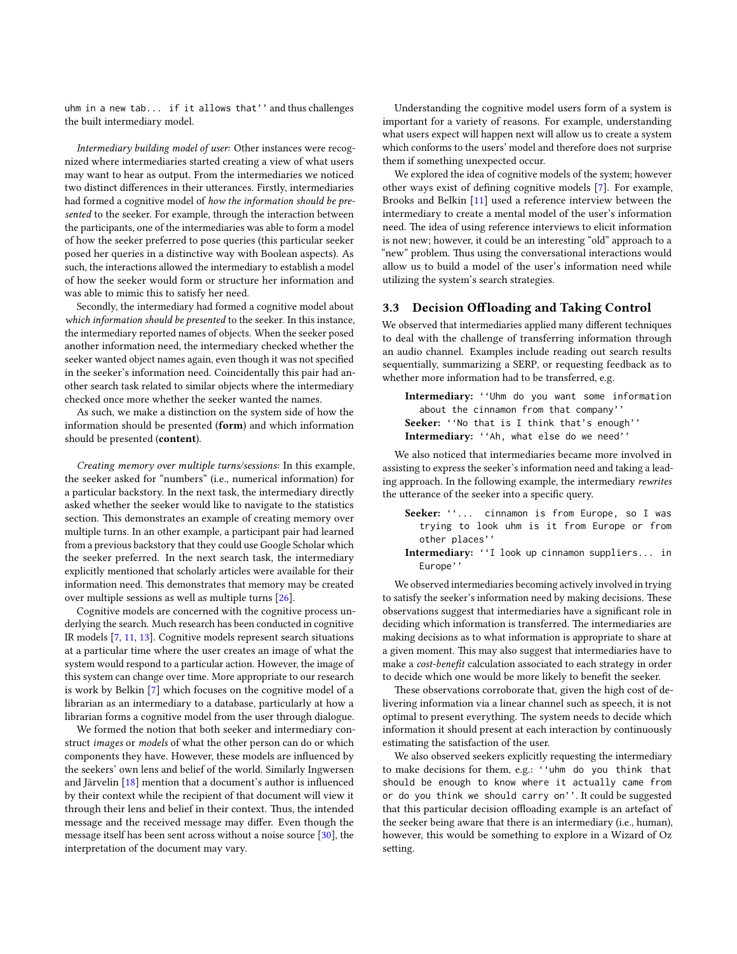uhm in a new tab... if it allows that'' and thus challenges the built intermediary model.

Intermediary building model of user: Other instances were recognized where intermediaries started creating a view of what users may want to hear as output. From the intermediaries we noticed two distinct differences in their utterances. Firstly, intermediaries had formed a cognitive model of how the information should be presented to the seeker. For example, through the interaction between the participants, one of the intermediaries was able to form a model of how the seeker preferred to pose queries (this particular seeker posed her queries in a distinctive way with Boolean aspects). As such, the interactions allowed the intermediary to establish a model of how the seeker would form or structure her information and was able to mimic this to satisfy her need.

Secondly, the intermediary had formed a cognitive model about which information should be presented to the seeker. In this instance, the intermediary reported names of objects. When the seeker posed another information need, the intermediary checked whether the seeker wanted object names again, even though it was not specified in the seeker's information need. Coincidentally this pair had another search task related to similar objects where the intermediary checked once more whether the seeker wanted the names.

As such, we make a distinction on the system side of how the information should be presented (form) and which information should be presented (content).

Creating memory over multiple turns/sessions: In this example, the seeker asked for "numbers" (i.e., numerical information) for a particular backstory. In the next task, the intermediary directly asked whether the seeker would like to navigate to the statistics section. This demonstrates an example of creating memory over multiple turns. In an other example, a participant pair had learned from a previous backstory that they could use Google Scholar which the seeker preferred. In the next search task, the intermediary explicitly mentioned that scholarly articles were available for their information need. This demonstrates that memory may be created over multiple sessions as well as multiple turns [\[26\]](#page-9-6).

Cognitive models are concerned with the cognitive process underlying the search. Much research has been conducted in cognitive IR models [\[7,](#page-9-13) [11,](#page-9-25) [13\]](#page-9-26). Cognitive models represent search situations at a particular time where the user creates an image of what the system would respond to a particular action. However, the image of this system can change over time. More appropriate to our research is work by Belkin [\[7\]](#page-9-13) which focuses on the cognitive model of a librarian as an intermediary to a database, particularly at how a librarian forms a cognitive model from the user through dialogue.

We formed the notion that both seeker and intermediary construct images or models of what the other person can do or which components they have. However, these models are influenced by the seekers' own lens and belief of the world. Similarly Ingwersen and Järvelin  $[18]$  mention that a document's author is influenced by their context while the recipient of that document will view it through their lens and belief in their context. Thus, the intended message and the received message may differ. Even though the message itself has been sent across without a noise source [\[30\]](#page-9-28), the interpretation of the document may vary.

Understanding the cognitive model users form of a system is important for a variety of reasons. For example, understanding what users expect will happen next will allow us to create a system which conforms to the users' model and therefore does not surprise them if something unexpected occur.

We explored the idea of cognitive models of the system; however other ways exist of defining cognitive models [\[7\]](#page-9-13). For example, Brooks and Belkin [\[11\]](#page-9-25) used a reference interview between the intermediary to create a mental model of the user's information need. The idea of using reference interviews to elicit information is not new; however, it could be an interesting "old" approach to a "new" problem. Thus using the conversational interactions would allow us to build a model of the user's information need while utilizing the system's search strategies.

#### <span id="page-3-0"></span>3.3 Decision Offloading and Taking Control

We observed that intermediaries applied many different techniques to deal with the challenge of transferring information through an audio channel. Examples include reading out search results sequentially, summarizing a SERP, or requesting feedback as to whether more information had to be transferred, e.g.

Intermediary: ''Uhm do you want some information about the cinnamon from that company'' Seeker: "No that is I think that's enough'' Intermediary: ''Ah, what else do we need''

We also noticed that intermediaries became more involved in assisting to express the seeker's information need and taking a leading approach. In the following example, the intermediary rewrites the utterance of the seeker into a specific query.

- Seeker: "... cinnamon is from Europe, so I was trying to look uhm is it from Europe or from other places''
- Intermediary: ''I look up cinnamon suppliers... in Europe''

We observed intermediaries becoming actively involved in trying to satisfy the seeker's information need by making decisions. These observations suggest that intermediaries have a significant role in deciding which information is transferred. The intermediaries are making decisions as to what information is appropriate to share at a given moment. This may also suggest that intermediaries have to make a cost-benefit calculation associated to each strategy in order to decide which one would be more likely to benefit the seeker.

These observations corroborate that, given the high cost of delivering information via a linear channel such as speech, it is not optimal to present everything. The system needs to decide which information it should present at each interaction by continuously estimating the satisfaction of the user.

We also observed seekers explicitly requesting the intermediary to make decisions for them, e.g.: ''uhm do you think that should be enough to know where it actually came from or do you think we should carry on''. It could be suggested that this particular decision offloading example is an artefact of the seeker being aware that there is an intermediary (i.e., human), however, this would be something to explore in a Wizard of Oz setting.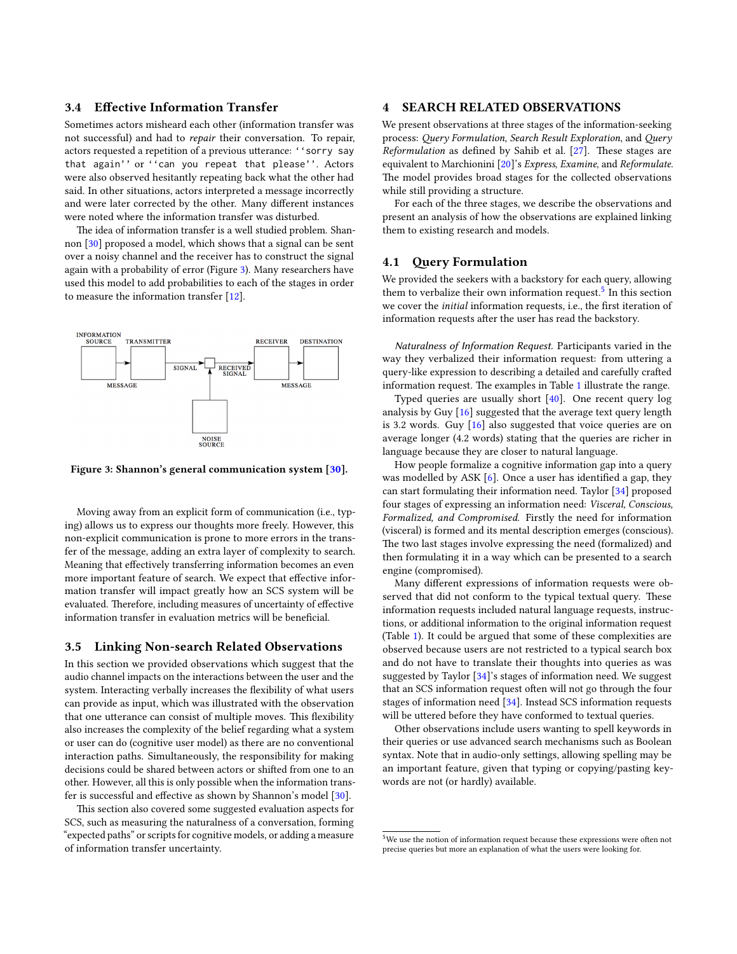#### 3.4 Effective Information Transfer

Sometimes actors misheard each other (information transfer was not successful) and had to repair their conversation. To repair, actors requested a repetition of a previous utterance: ''sorry say that again'' or ''can you repeat that please''. Actors were also observed hesitantly repeating back what the other had said. In other situations, actors interpreted a message incorrectly and were later corrected by the other. Many different instances were noted where the information transfer was disturbed.

The idea of information transfer is a well studied problem. Shannon [\[30\]](#page-9-28) proposed a model, which shows that a signal can be sent over a noisy channel and the receiver has to construct the signal again with a probability of error (Figure [3\)](#page-4-1). Many researchers have used this model to add probabilities to each of the stages in order to measure the information transfer [\[12\]](#page-9-29).

<span id="page-4-1"></span>

Figure 3: Shannon's general communication system [\[30\]](#page-9-28).

Moving away from an explicit form of communication (i.e., typing) allows us to express our thoughts more freely. However, this non-explicit communication is prone to more errors in the transfer of the message, adding an extra layer of complexity to search. Meaning that effectively transferring information becomes an even more important feature of search. We expect that effective information transfer will impact greatly how an SCS system will be evaluated. Therefore, including measures of uncertainty of effective information transfer in evaluation metrics will be beneficial.

#### 3.5 Linking Non-search Related Observations

In this section we provided observations which suggest that the audio channel impacts on the interactions between the user and the system. Interacting verbally increases the flexibility of what users can provide as input, which was illustrated with the observation that one utterance can consist of multiple moves. This flexibility also increases the complexity of the belief regarding what a system or user can do (cognitive user model) as there are no conventional interaction paths. Simultaneously, the responsibility for making decisions could be shared between actors or shifted from one to an other. However, all this is only possible when the information transfer is successful and effective as shown by Shannon's model  $[30]$ .

This section also covered some suggested evaluation aspects for SCS, such as measuring the naturalness of a conversation, forming "expected paths" or scripts for cognitive models, or adding a measure of information transfer uncertainty.

#### <span id="page-4-0"></span>**SEARCH RELATED OBSERVATIONS**

We present observations at three stages of the information-seeking process: Query Formulation, Search Result Exploration, and Query  $Reformulation$  as defined by Sahib et al.  $[27]$ . These stages are equivalent to Marchionini [\[20\]](#page-9-8)'s Express, Examine, and Reformulate. The model provides broad stages for the collected observations while still providing a structure.

For each of the three stages, we describe the observations and present an analysis of how the observations are explained linking them to existing research and models.

#### <span id="page-4-3"></span>4.1 Query Formulation

We provided the seekers with a backstory for each query, allowing them to verbalize their own information request.<sup>[5](#page-4-2)</sup> In this section we cover the *initial* information requests, i.e., the first iteration of information requests after the user has read the backstory.

Naturalness of Information Request. Participants varied in the way they verbalized their information request: from uttering a query-like expression to describing a detailed and carefully crafted information request. The examples in Table [1](#page-5-0) illustrate the range.

Typed queries are usually short [\[40\]](#page-9-30). One recent query log analysis by Guy [\[16\]](#page-9-31) suggested that the average text query length is 3.2 words. Guy [\[16\]](#page-9-31) also suggested that voice queries are on average longer (4.2 words) stating that the queries are richer in language because they are closer to natural language.

How people formalize a cognitive information gap into a query was modelled by ASK  $[6]$ . Once a user has identified a gap, they can start formulating their information need. Taylor [\[34\]](#page-9-32) proposed four stages of expressing an information need: Visceral, Conscious, Formalized, and Compromised. Firstly the need for information (visceral) is formed and its mental description emerges (conscious). The two last stages involve expressing the need (formalized) and then formulating it in a way which can be presented to a search engine (compromised).

Many different expressions of information requests were observed that did not conform to the typical textual query. These information requests included natural language requests, instructions, or additional information to the original information request (Table [1\)](#page-5-0). It could be argued that some of these complexities are observed because users are not restricted to a typical search box and do not have to translate their thoughts into queries as was suggested by Taylor [\[34\]](#page-9-32)'s stages of information need. We suggest that an SCS information request often will not go through the four stages of information need [\[34\]](#page-9-32). Instead SCS information requests will be uttered before they have conformed to textual queries.

Other observations include users wanting to spell keywords in their queries or use advanced search mechanisms such as Boolean syntax. Note that in audio-only settings, allowing spelling may be an important feature, given that typing or copying/pasting keywords are not (or hardly) available.

<span id="page-4-2"></span> $5$ We use the notion of information request because these expressions were often not precise queries but more an explanation of what the users were looking for.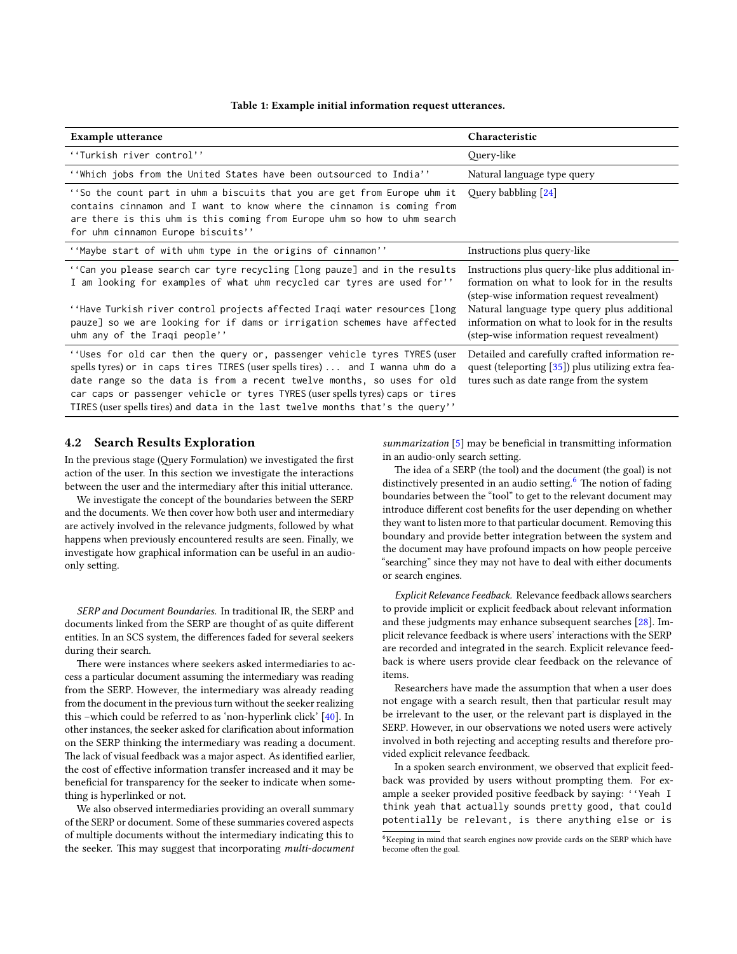| Table 1: Example initial information request utterances |
|---------------------------------------------------------|
|---------------------------------------------------------|

<span id="page-5-0"></span>

| Example utterance                                                                                                                                                                                                                                                                                                                                                                                         | Characteristic                                                                                                                                   |
|-----------------------------------------------------------------------------------------------------------------------------------------------------------------------------------------------------------------------------------------------------------------------------------------------------------------------------------------------------------------------------------------------------------|--------------------------------------------------------------------------------------------------------------------------------------------------|
| "Turkish river control"                                                                                                                                                                                                                                                                                                                                                                                   | Query-like                                                                                                                                       |
| "Which jobs from the United States have been outsourced to India"                                                                                                                                                                                                                                                                                                                                         | Natural language type query                                                                                                                      |
| "So the count part in uhm a biscuits that you are get from Europe uhm it Query babbling [24]<br>contains cinnamon and I want to know where the cinnamon is coming from<br>are there is this uhm is this coming from Europe uhm so how to uhm search<br>for uhm cinnamon Europe biscuits''                                                                                                                 |                                                                                                                                                  |
| "Maybe start of with uhm type in the origins of cinnamon"                                                                                                                                                                                                                                                                                                                                                 | Instructions plus query-like                                                                                                                     |
| ''Can you please search car tyre recycling [long pauze] and in the results<br>I am looking for examples of what uhm recycled car tyres are used for''                                                                                                                                                                                                                                                     | Instructions plus query-like plus additional in-<br>formation on what to look for in the results<br>(step-wise information request revealment)   |
| ''Have Turkish river control projects affected Iraqi water resources [long]<br>pauze] so we are looking for if dams or irrigation schemes have affected<br>uhm any of the Iraqi people''                                                                                                                                                                                                                  | Natural language type query plus additional<br>information on what to look for in the results<br>(step-wise information request revealment)      |
| "Uses for old car then the query or, passenger vehicle tyres TYRES (user<br>spells tyres) or in caps tires TIRES (user spells tires)  and I wanna uhm do a<br>date range so the data is from a recent twelve months, so uses for old<br>car caps or passenger vehicle or tyres TYRES (user spells tyres) caps or tires<br>TIRES (user spells tires) and data in the last twelve months that's the query'' | Detailed and carefully crafted information re-<br>quest (teleporting [35]) plus utilizing extra fea-<br>tures such as date range from the system |

## <span id="page-5-2"></span>4.2 Search Results Exploration

In the previous stage (Query Formulation) we investigated the first action of the user. In this section we investigate the interactions between the user and the intermediary after this initial utterance.

We investigate the concept of the boundaries between the SERP and the documents. We then cover how both user and intermediary are actively involved in the relevance judgments, followed by what happens when previously encountered results are seen. Finally, we investigate how graphical information can be useful in an audioonly setting.

SERP and Document Boundaries. In traditional IR, the SERP and documents linked from the SERP are thought of as quite different entities. In an SCS system, the differences faded for several seekers during their search.

There were instances where seekers asked intermediaries to access a particular document assuming the intermediary was reading from the SERP. However, the intermediary was already reading from the document in the previous turn without the seeker realizing this –which could be referred to as 'non-hyperlink click' [\[40\]](#page-9-30). In other instances, the seeker asked for clarification about information on the SERP thinking the intermediary was reading a document. The lack of visual feedback was a major aspect. As identified earlier, the cost of effective information transfer increased and it may be beneficial for transparency for the seeker to indicate when something is hyperlinked or not.

We also observed intermediaries providing an overall summary of the SERP or document. Some of these summaries covered aspects of multiple documents without the intermediary indicating this to the seeker. This may suggest that incorporating multi-document

summarization  $[5]$  may be beneficial in transmitting information in an audio-only search setting.

The idea of a SERP (the tool) and the document (the goal) is not distinctively presented in an audio setting.<sup>[6](#page-5-1)</sup> The notion of fading boundaries between the "tool" to get to the relevant document may introduce different cost benefits for the user depending on whether they want to listen more to that particular document. Removing this boundary and provide better integration between the system and the document may have profound impacts on how people perceive "searching" since they may not have to deal with either documents or search engines.

Explicit Relevance Feedback. Relevance feedback allows searchers to provide implicit or explicit feedback about relevant information and these judgments may enhance subsequent searches [\[28\]](#page-9-36). Implicit relevance feedback is where users' interactions with the SERP are recorded and integrated in the search. Explicit relevance feedback is where users provide clear feedback on the relevance of items.

Researchers have made the assumption that when a user does not engage with a search result, then that particular result may be irrelevant to the user, or the relevant part is displayed in the SERP. However, in our observations we noted users were actively involved in both rejecting and accepting results and therefore provided explicit relevance feedback.

In a spoken search environment, we observed that explicit feedback was provided by users without prompting them. For example a seeker provided positive feedback by saying: ''Yeah I think yeah that actually sounds pretty good, that could potentially be relevant, is there anything else or is

<span id="page-5-1"></span> $6$ Keeping in mind that search engines now provide cards on the SERP which have become often the goal.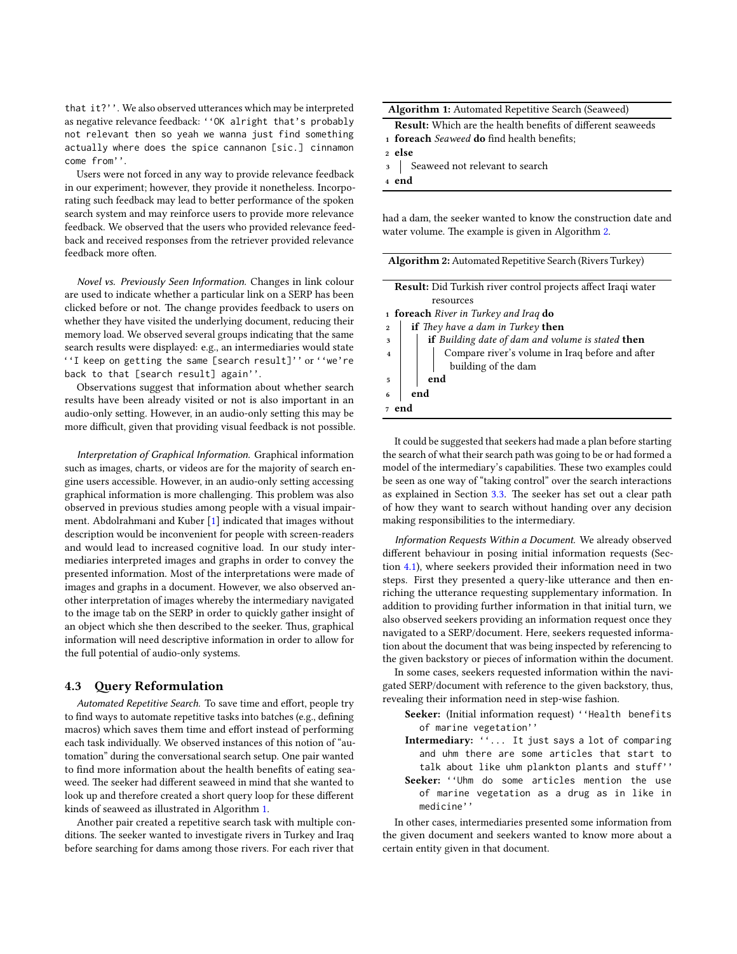that it?''. We also observed utterances which may be interpreted as negative relevance feedback: ''OK alright that's probably not relevant then so yeah we wanna just find something actually where does the spice cannanon [sic.] cinnamon come from''.

Users were not forced in any way to provide relevance feedback in our experiment; however, they provide it nonetheless. Incorporating such feedback may lead to better performance of the spoken search system and may reinforce users to provide more relevance feedback. We observed that the users who provided relevance feedback and received responses from the retriever provided relevance feedback more often.

Novel vs. Previously Seen Information. Changes in link colour are used to indicate whether a particular link on a SERP has been clicked before or not. The change provides feedback to users on whether they have visited the underlying document, reducing their memory load. We observed several groups indicating that the same search results were displayed: e.g., an intermediaries would state ''I keep on getting the same [search result]'' or ''we're back to that [search result] again''.

Observations suggest that information about whether search results have been already visited or not is also important in an audio-only setting. However, in an audio-only setting this may be more difficult, given that providing visual feedback is not possible.

Interpretation of Graphical Information. Graphical information such as images, charts, or videos are for the majority of search engine users accessible. However, in an audio-only setting accessing graphical information is more challenging. This problem was also observed in previous studies among people with a visual impairment. Abdolrahmani and Kuber [\[1\]](#page-9-37) indicated that images without description would be inconvenient for people with screen-readers and would lead to increased cognitive load. In our study intermediaries interpreted images and graphs in order to convey the presented information. Most of the interpretations were made of images and graphs in a document. However, we also observed another interpretation of images whereby the intermediary navigated to the image tab on the SERP in order to quickly gather insight of an object which she then described to the seeker. Thus, graphical information will need descriptive information in order to allow for the full potential of audio-only systems.

#### 4.3 Query Reformulation

Automated Repetitive Search. To save time and effort, people try to find ways to automate repetitive tasks into batches (e.g., defining macros) which saves them time and effort instead of performing each task individually. We observed instances of this notion of "automation" during the conversational search setup. One pair wanted to find more information about the health benefits of eating seaweed. The seeker had different seaweed in mind that she wanted to look up and therefore created a short query loop for these different kinds of seaweed as illustrated in Algorithm [1.](#page-6-0)

Another pair created a repetitive search task with multiple conditions. The seeker wanted to investigate rivers in Turkey and Iraq before searching for dams among those rivers. For each river that

|  |  | <b>Algorithm 1:</b> Automated Repetitive Search (Seaweed) |  |
|--|--|-----------------------------------------------------------|--|
|--|--|-----------------------------------------------------------|--|

<span id="page-6-0"></span>**Result:** Which are the health benefits of different seaweeds 1 foreach Seaweed do find health benefits:

- <sup>2</sup> else
- 3 Seaweed not relevant to search

<sup>4</sup> end

had a dam, the seeker wanted to know the construction date and water volume. The example is given in Algorithm [2.](#page-6-1)

<span id="page-6-1"></span>

| <b>Algorithm 2:</b> Automated Repetitive Search (Rivers Turkey)                                                |  |  |  |
|----------------------------------------------------------------------------------------------------------------|--|--|--|
|                                                                                                                |  |  |  |
| <b>Result:</b> Did Turkish river control projects affect Iraqi water                                           |  |  |  |
| resources                                                                                                      |  |  |  |
| 1 foreach River in Turkey and Iraq do                                                                          |  |  |  |
| if They have a dam in Turkey then<br>$\overline{2}$                                                            |  |  |  |
| if Building date of dam and volume is stated then<br>$\overline{\mathbf{3}}$                                   |  |  |  |
| $\overline{4}$<br>$\label{eq:comp} \text{Compare river's volume in Iraq before and after building of the dam}$ |  |  |  |
|                                                                                                                |  |  |  |
| end<br>5                                                                                                       |  |  |  |
| end                                                                                                            |  |  |  |
|                                                                                                                |  |  |  |
|                                                                                                                |  |  |  |

It could be suggested that seekers had made a plan before starting the search of what their search path was going to be or had formed a model of the intermediary's capabilities. These two examples could be seen as one way of "taking control" over the search interactions as explained in Section [3.3.](#page-3-0) The seeker has set out a clear path of how they want to search without handing over any decision making responsibilities to the intermediary.

Information Requests Within a Document. We already observed different behaviour in posing initial information requests (Section [4.1\)](#page-4-3), where seekers provided their information need in two steps. First they presented a query-like utterance and then enriching the utterance requesting supplementary information. In addition to providing further information in that initial turn, we also observed seekers providing an information request once they navigated to a SERP/document. Here, seekers requested information about the document that was being inspected by referencing to the given backstory or pieces of information within the document.

In some cases, seekers requested information within the navigated SERP/document with reference to the given backstory, thus, revealing their information need in step-wise fashion.

- Seeker: (Initial information request) ''Health benefits of marine vegetation''
- Intermediary: ''... It just says a lot of comparing and uhm there are some articles that start to talk about like uhm plankton plants and stuff''
- Seeker: "Uhm do some articles mention the use of marine vegetation as a drug as in like in medicine''

In other cases, intermediaries presented some information from the given document and seekers wanted to know more about a certain entity given in that document.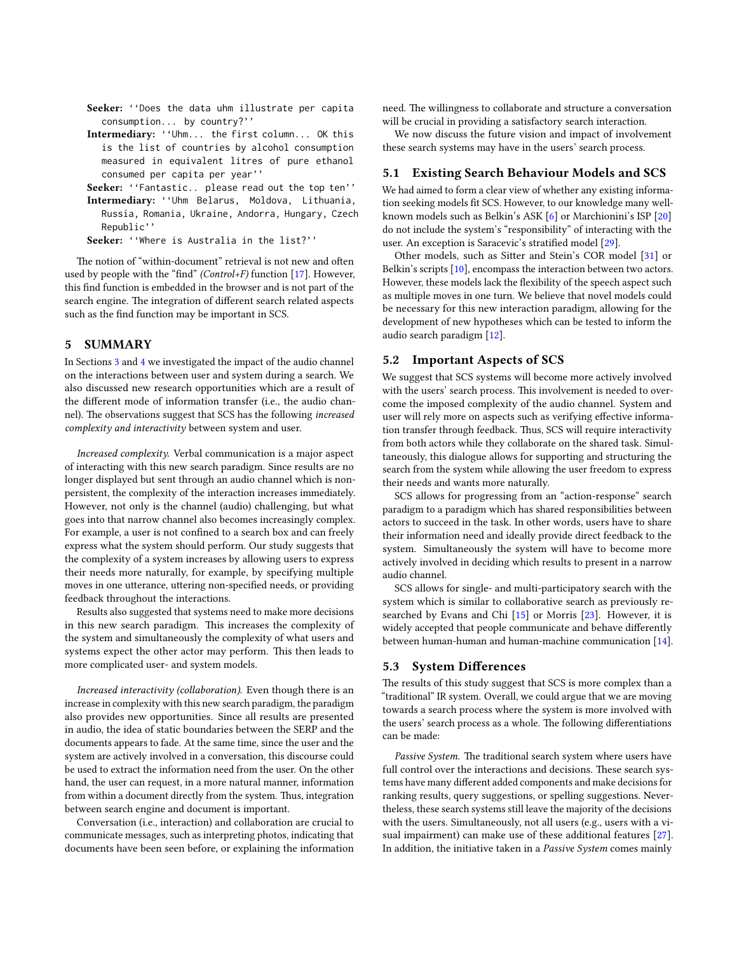- Seeker: ''Does the data uhm illustrate per capita consumption... by country?''
- Intermediary: ''Uhm... the first column... OK this is the list of countries by alcohol consumption measured in equivalent litres of pure ethanol consumed per capita per year''
- Seeker: "Fantastic.. please read out the top ten''
- Intermediary: ''Uhm Belarus, Moldova, Lithuania, Russia, Romania, Ukraine, Andorra, Hungary, Czech Republic''

Seeker: ''Where is Australia in the list?''

The notion of "within-document" retrieval is not new and often used by people with the "find" (Control+F) function [\[17\]](#page-9-38). However, this find function is embedded in the browser and is not part of the search engine. The integration of different search related aspects such as the find function may be important in SCS.

# <span id="page-7-0"></span>5 SUMMARY

In Sections [3](#page-1-0) and [4](#page-4-0) we investigated the impact of the audio channel on the interactions between user and system during a search. We also discussed new research opportunities which are a result of the different mode of information transfer (i.e., the audio channel). The observations suggest that SCS has the following increased complexity and interactivity between system and user.

Increased complexity. Verbal communication is a major aspect of interacting with this new search paradigm. Since results are no longer displayed but sent through an audio channel which is nonpersistent, the complexity of the interaction increases immediately. However, not only is the channel (audio) challenging, but what goes into that narrow channel also becomes increasingly complex. For example, a user is not confined to a search box and can freely express what the system should perform. Our study suggests that the complexity of a system increases by allowing users to express their needs more naturally, for example, by specifying multiple moves in one utterance, uttering non-specified needs, or providing feedback throughout the interactions.

Results also suggested that systems need to make more decisions in this new search paradigm. This increases the complexity of the system and simultaneously the complexity of what users and systems expect the other actor may perform. This then leads to more complicated user- and system models.

Increased interactivity (collaboration). Even though there is an increase in complexity with this new search paradigm, the paradigm also provides new opportunities. Since all results are presented in audio, the idea of static boundaries between the SERP and the documents appears to fade. At the same time, since the user and the system are actively involved in a conversation, this discourse could be used to extract the information need from the user. On the other hand, the user can request, in a more natural manner, information from within a document directly from the system. Thus, integration between search engine and document is important.

Conversation (i.e., interaction) and collaboration are crucial to communicate messages, such as interpreting photos, indicating that documents have been seen before, or explaining the information need. The willingness to collaborate and structure a conversation will be crucial in providing a satisfactory search interaction.

We now discuss the future vision and impact of involvement these search systems may have in the users' search process.

#### 5.1 Existing Search Behaviour Models and SCS

We had aimed to form a clear view of whether any existing information seeking models fit SCS. However, to our knowledge many wellknown models such as Belkin's ASK [\[6\]](#page-9-7) or Marchionini's ISP [\[20\]](#page-9-8) do not include the system's "responsibility" of interacting with the user. An exception is Saracevic's stratified model [\[29\]](#page-9-12).

Other models, such as Sitter and Stein's COR model [\[31\]](#page-9-15) or Belkin's scripts [\[10\]](#page-9-19), encompass the interaction between two actors. However, these models lack the flexibility of the speech aspect such as multiple moves in one turn. We believe that novel models could be necessary for this new interaction paradigm, allowing for the development of new hypotheses which can be tested to inform the audio search paradigm [\[12\]](#page-9-29).

#### 5.2 Important Aspects of SCS

We suggest that SCS systems will become more actively involved with the users' search process. This involvement is needed to overcome the imposed complexity of the audio channel. System and user will rely more on aspects such as verifying effective information transfer through feedback. Thus, SCS will require interactivity from both actors while they collaborate on the shared task. Simultaneously, this dialogue allows for supporting and structuring the search from the system while allowing the user freedom to express their needs and wants more naturally.

SCS allows for progressing from an "action-response" search paradigm to a paradigm which has shared responsibilities between actors to succeed in the task. In other words, users have to share their information need and ideally provide direct feedback to the system. Simultaneously the system will have to become more actively involved in deciding which results to present in a narrow audio channel.

SCS allows for single- and multi-participatory search with the system which is similar to collaborative search as previously researched by Evans and Chi [\[15\]](#page-9-39) or Morris [\[23\]](#page-9-40). However, it is widely accepted that people communicate and behave differently between human-human and human-machine communication [\[14\]](#page-9-41).

#### 5.3 System Differences

The results of this study suggest that SCS is more complex than a "traditional" IR system. Overall, we could argue that we are moving towards a search process where the system is more involved with the users' search process as a whole. The following differentiations can be made:

Passive System. The traditional search system where users have full control over the interactions and decisions. These search systems have many different added components and make decisions for ranking results, query suggestions, or spelling suggestions. Nevertheless, these search systems still leave the majority of the decisions with the users. Simultaneously, not all users (e.g., users with a visual impairment) can make use of these additional features [\[27\]](#page-9-1). In addition, the initiative taken in a Passive System comes mainly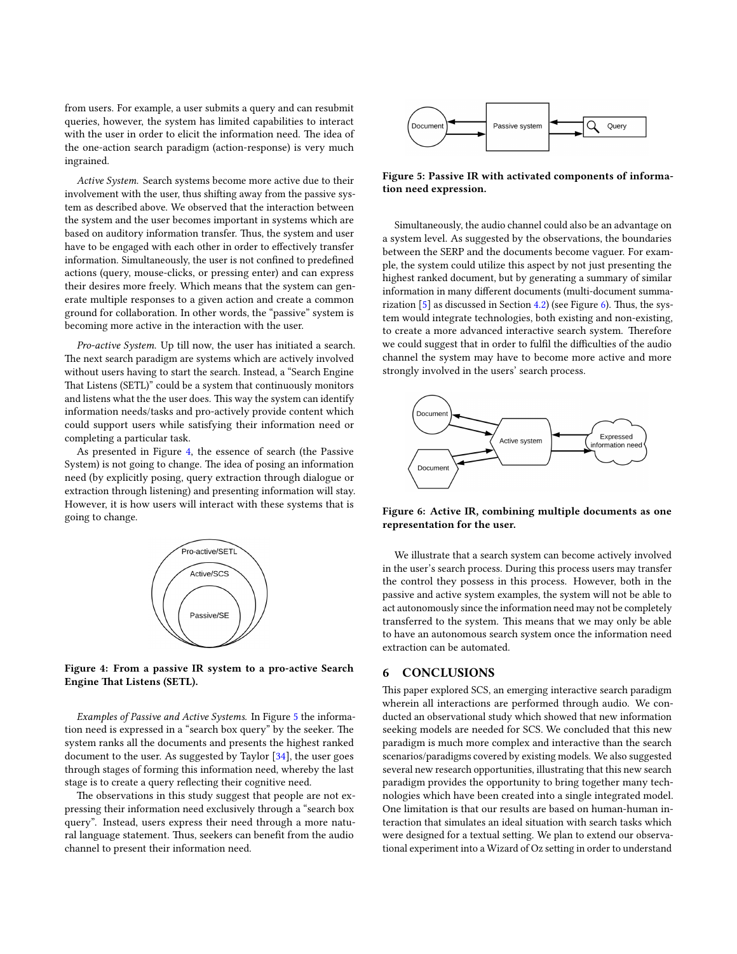from users. For example, a user submits a query and can resubmit queries, however, the system has limited capabilities to interact with the user in order to elicit the information need. The idea of the one-action search paradigm (action-response) is very much ingrained.

Active System. Search systems become more active due to their involvement with the user, thus shifting away from the passive system as described above. We observed that the interaction between the system and the user becomes important in systems which are based on auditory information transfer. Thus, the system and user have to be engaged with each other in order to effectively transfer information. Simultaneously, the user is not confined to predefined actions (query, mouse-clicks, or pressing enter) and can express their desires more freely. Which means that the system can generate multiple responses to a given action and create a common ground for collaboration. In other words, the "passive" system is becoming more active in the interaction with the user.

Pro-active System. Up till now, the user has initiated a search. The next search paradigm are systems which are actively involved without users having to start the search. Instead, a "Search Engine That Listens (SETL)" could be a system that continuously monitors and listens what the the user does. This way the system can identify information needs/tasks and pro-actively provide content which could support users while satisfying their information need or completing a particular task.

As presented in Figure [4,](#page-8-0) the essence of search (the Passive System) is not going to change. The idea of posing an information need (by explicitly posing, query extraction through dialogue or extraction through listening) and presenting information will stay. However, it is how users will interact with these systems that is going to change.

<span id="page-8-0"></span>

Figure 4: From a passive IR system to a pro-active Search Engine That Listens (SETL).

Examples of Passive and Active Systems. In Figure [5](#page-8-1) the information need is expressed in a "search box query" by the seeker. The system ranks all the documents and presents the highest ranked document to the user. As suggested by Taylor [\[34\]](#page-9-32), the user goes through stages of forming this information need, whereby the last stage is to create a query reflecting their cognitive need.

The observations in this study suggest that people are not expressing their information need exclusively through a "search box query". Instead, users express their need through a more natural language statement. Thus, seekers can benefit from the audio channel to present their information need.

<span id="page-8-1"></span>

Figure 5: Passive IR with activated components of information need expression.

Simultaneously, the audio channel could also be an advantage on a system level. As suggested by the observations, the boundaries between the SERP and the documents become vaguer. For example, the system could utilize this aspect by not just presenting the highest ranked document, but by generating a summary of similar information in many different documents (multi-document summarization  $[5]$  as discussed in Section [4.2\)](#page-5-2) (see Figure [6\)](#page-8-2). Thus, the system would integrate technologies, both existing and non-existing, to create a more advanced interactive search system. Therefore we could suggest that in order to fulfil the difficulties of the audio channel the system may have to become more active and more strongly involved in the users' search process.

<span id="page-8-2"></span>

Figure 6: Active IR, combining multiple documents as one representation for the user.

We illustrate that a search system can become actively involved in the user's search process. During this process users may transfer the control they possess in this process. However, both in the passive and active system examples, the system will not be able to act autonomously since the information need may not be completely transferred to the system. This means that we may only be able to have an autonomous search system once the information need extraction can be automated.

## 6 CONCLUSIONS

This paper explored SCS, an emerging interactive search paradigm wherein all interactions are performed through audio. We conducted an observational study which showed that new information seeking models are needed for SCS. We concluded that this new paradigm is much more complex and interactive than the search scenarios/paradigms covered by existing models. We also suggested several new research opportunities, illustrating that this new search paradigm provides the opportunity to bring together many technologies which have been created into a single integrated model. One limitation is that our results are based on human-human interaction that simulates an ideal situation with search tasks which were designed for a textual setting. We plan to extend our observational experiment into a Wizard of Oz setting in order to understand